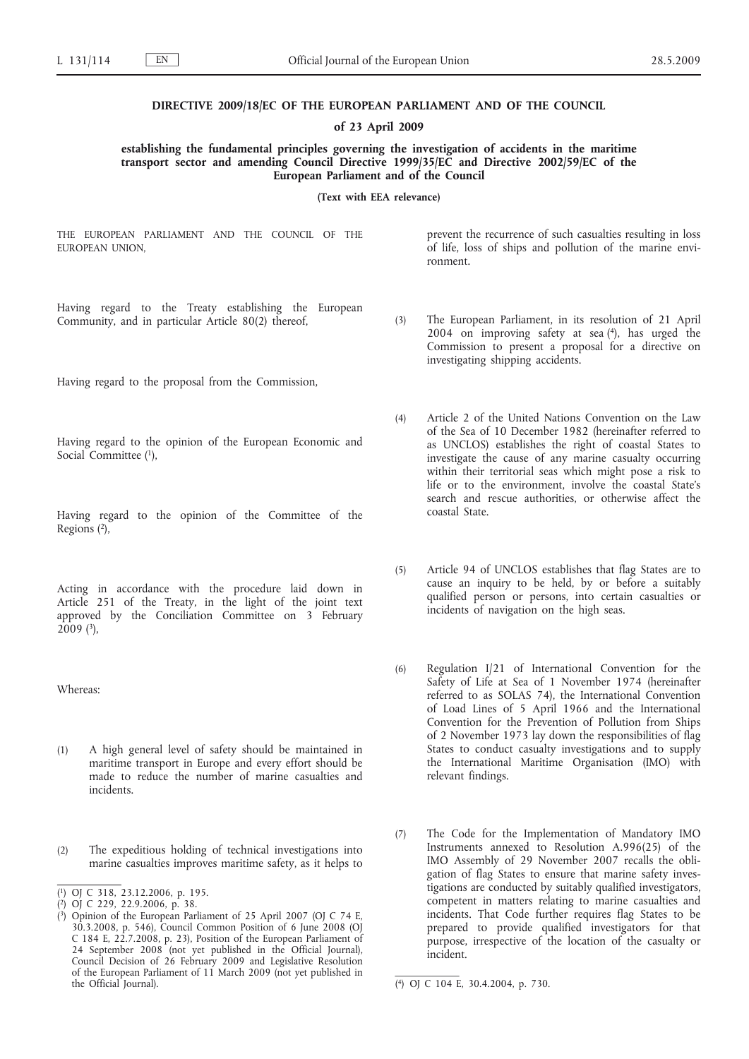## **DIRECTIVE 2009/18/EC OF THE EUROPEAN PARLIAMENT AND OF THE COUNCIL**

## **of 23 April 2009**

**establishing the fundamental principles governing the investigation of accidents in the maritime transport sector and amending Council Directive 1999/35/EC and Directive 2002/59/EC of the European Parliament and of the Council**

**(Text with EEA relevance)**

THE EUROPEAN PARLIAMENT AND THE COUNCIL OF THE EUROPEAN UNION,

Having regard to the Treaty establishing the European Community, and in particular Article 80(2) thereof,

Having regard to the proposal from the Commission,

Having regard to the opinion of the European Economic and Social Committee (1),

Having regard to the opinion of the Committee of the Regions (2),

Acting in accordance with the procedure laid down in Article 251 of the Treaty, in the light of the joint text approved by the Conciliation Committee on 3 February  $2009$  (<sup>3</sup>),

Whereas:

- (1) A high general level of safety should be maintained in maritime transport in Europe and every effort should be made to reduce the number of marine casualties and incidents.
- (2) The expeditious holding of technical investigations into marine casualties improves maritime safety, as it helps to
- ( 1) OJ C 318, 23.12.2006, p. 195.

prevent the recurrence of such casualties resulting in loss of life, loss of ships and pollution of the marine environment.

- (3) The European Parliament, in its resolution of 21 April 2004 on improving safety at sea (4), has urged the Commission to present a proposal for a directive on investigating shipping accidents.
- (4) Article 2 of the United Nations Convention on the Law of the Sea of 10 December 1982 (hereinafter referred to as UNCLOS) establishes the right of coastal States to investigate the cause of any marine casualty occurring within their territorial seas which might pose a risk to life or to the environment, involve the coastal State's search and rescue authorities, or otherwise affect the coastal State.
- (5) Article 94 of UNCLOS establishes that flag States are to cause an inquiry to be held, by or before a suitably qualified person or persons, into certain casualties or incidents of navigation on the high seas.
- (6) Regulation I/21 of International Convention for the Safety of Life at Sea of 1 November 1974 (hereinafter referred to as SOLAS 74), the International Convention of Load Lines of 5 April 1966 and the International Convention for the Prevention of Pollution from Ships of 2 November 1973 lay down the responsibilities of flag States to conduct casualty investigations and to supply the International Maritime Organisation (IMO) with relevant findings.
- (7) The Code for the Implementation of Mandatory IMO Instruments annexed to Resolution A.996(25) of the IMO Assembly of 29 November 2007 recalls the obligation of flag States to ensure that marine safety investigations are conducted by suitably qualified investigators, competent in matters relating to marine casualties and incidents. That Code further requires flag States to be prepared to provide qualified investigators for that purpose, irrespective of the location of the casualty or incident.

<sup>(</sup> 2) OJ C 229, 22.9.2006, p. 38.

<sup>(</sup> 3) Opinion of the European Parliament of 25 April 2007 (OJ C 74 E, 30.3.2008, p. 546), Council Common Position of 6 June 2008 (OJ C 184 E, 22.7.2008, p. 23), Position of the European Parliament of 24 September 2008 (not yet published in the Official Journal), Council Decision of 26 February 2009 and Legislative Resolution of the European Parliament of 11 March 2009 (not yet published in the Official Journal). (4) OJ C 104 E, 30.4.2004, p. 730.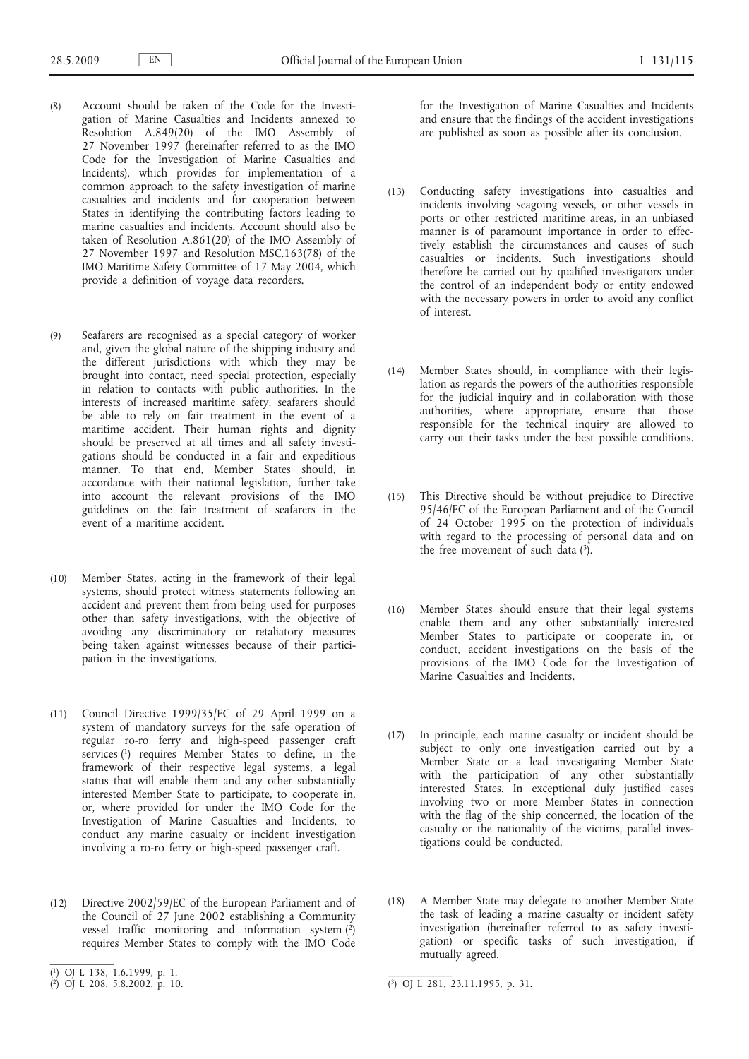- (8) Account should be taken of the Code for the Investigation of Marine Casualties and Incidents annexed to Resolution A.849(20) of the IMO Assembly of 27 November 1997 (hereinafter referred to as the IMO Code for the Investigation of Marine Casualties and Incidents), which provides for implementation of a common approach to the safety investigation of marine casualties and incidents and for cooperation between States in identifying the contributing factors leading to marine casualties and incidents. Account should also be taken of Resolution A.861(20) of the IMO Assembly of 27 November 1997 and Resolution MSC.163(78) of the IMO Maritime Safety Committee of 17 May 2004, which provide a definition of voyage data recorders.
- (9) Seafarers are recognised as a special category of worker and, given the global nature of the shipping industry and the different jurisdictions with which they may be brought into contact, need special protection, especially in relation to contacts with public authorities. In the interests of increased maritime safety, seafarers should be able to rely on fair treatment in the event of a maritime accident. Their human rights and dignity should be preserved at all times and all safety investigations should be conducted in a fair and expeditious manner. To that end, Member States should, in accordance with their national legislation, further take into account the relevant provisions of the IMO guidelines on the fair treatment of seafarers in the event of a maritime accident.
- (10) Member States, acting in the framework of their legal systems, should protect witness statements following an accident and prevent them from being used for purposes other than safety investigations, with the objective of avoiding any discriminatory or retaliatory measures being taken against witnesses because of their participation in the investigations.
- (11) Council Directive 1999/35/EC of 29 April 1999 on a system of mandatory surveys for the safe operation of regular ro-ro ferry and high-speed passenger craft services (1) requires Member States to define, in the framework of their respective legal systems, a legal status that will enable them and any other substantially interested Member State to participate, to cooperate in, or, where provided for under the IMO Code for the Investigation of Marine Casualties and Incidents, to conduct any marine casualty or incident investigation involving a ro-ro ferry or high-speed passenger craft.
- (12) Directive 2002/59/EC of the European Parliament and of the Council of 27 June 2002 establishing a Community vessel traffic monitoring and information system  $(2)$ requires Member States to comply with the IMO Code

for the Investigation of Marine Casualties and Incidents and ensure that the findings of the accident investigations are published as soon as possible after its conclusion.

- (13) Conducting safety investigations into casualties and incidents involving seagoing vessels, or other vessels in ports or other restricted maritime areas, in an unbiased manner is of paramount importance in order to effectively establish the circumstances and causes of such casualties or incidents. Such investigations should therefore be carried out by qualified investigators under the control of an independent body or entity endowed with the necessary powers in order to avoid any conflict of interest.
- (14) Member States should, in compliance with their legislation as regards the powers of the authorities responsible for the judicial inquiry and in collaboration with those authorities, where appropriate, ensure that those responsible for the technical inquiry are allowed to carry out their tasks under the best possible conditions.
- (15) This Directive should be without prejudice to Directive 95/46/EC of the European Parliament and of the Council of 24 October 1995 on the protection of individuals with regard to the processing of personal data and on the free movement of such data  $(3)$ .
- (16) Member States should ensure that their legal systems enable them and any other substantially interested Member States to participate or cooperate in, or conduct, accident investigations on the basis of the provisions of the IMO Code for the Investigation of Marine Casualties and Incidents.
- (17) In principle, each marine casualty or incident should be subject to only one investigation carried out by a Member State or a lead investigating Member State with the participation of any other substantially interested States. In exceptional duly justified cases involving two or more Member States in connection with the flag of the ship concerned, the location of the casualty or the nationality of the victims, parallel investigations could be conducted.
- (18) A Member State may delegate to another Member State the task of leading a marine casualty or incident safety investigation (hereinafter referred to as safety investigation) or specific tasks of such investigation, if mutually agreed.

<sup>(</sup> 1) OJ L 138, 1.6.1999, p. 1.

 $(2)$  OJ L 208, 5.8.2002, p. 10.

 $\overline{(^3)}$  OJ L 281, 23.11.1995, p. 31.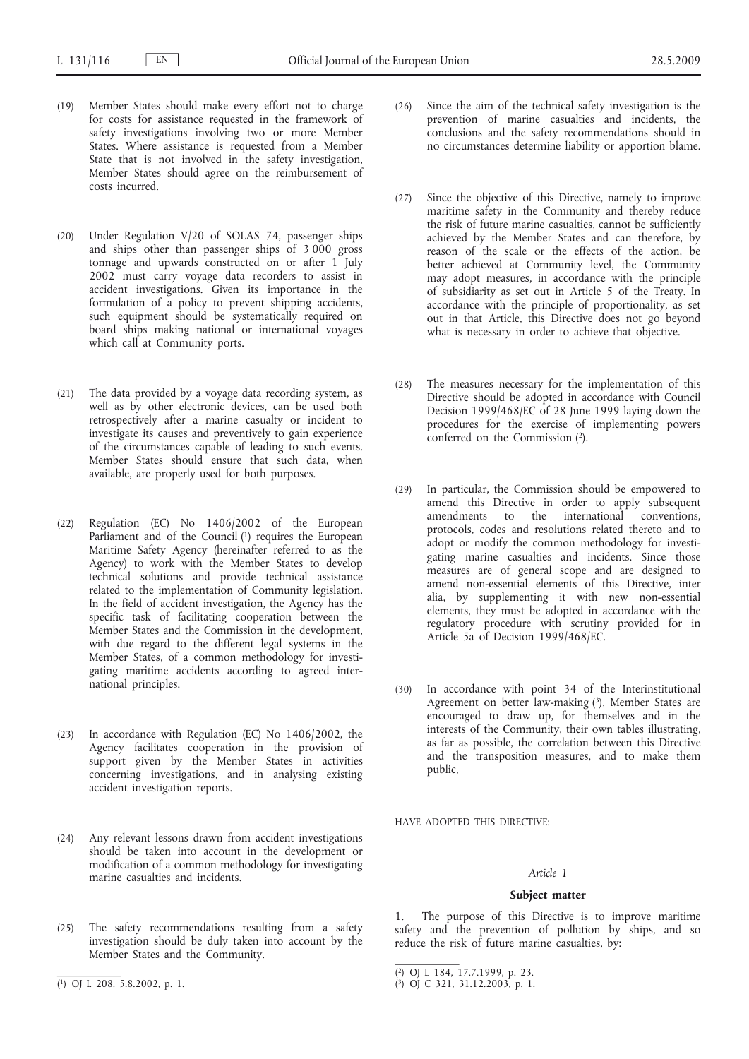- (19) Member States should make every effort not to charge for costs for assistance requested in the framework of safety investigations involving two or more Member States. Where assistance is requested from a Member State that is not involved in the safety investigation, Member States should agree on the reimbursement of costs incurred.
- (20) Under Regulation V/20 of SOLAS 74, passenger ships and ships other than passenger ships of 3 000 gross tonnage and upwards constructed on or after 1 July 2002 must carry voyage data recorders to assist in accident investigations. Given its importance in the formulation of a policy to prevent shipping accidents, such equipment should be systematically required on board ships making national or international voyages which call at Community ports.
- (21) The data provided by a voyage data recording system, as well as by other electronic devices, can be used both retrospectively after a marine casualty or incident to investigate its causes and preventively to gain experience of the circumstances capable of leading to such events. Member States should ensure that such data, when available, are properly used for both purposes.
- (22) Regulation (EC) No 1406/2002 of the European Parliament and of the Council (1) requires the European Maritime Safety Agency (hereinafter referred to as the Agency) to work with the Member States to develop technical solutions and provide technical assistance related to the implementation of Community legislation. In the field of accident investigation, the Agency has the specific task of facilitating cooperation between the Member States and the Commission in the development, with due regard to the different legal systems in the Member States, of a common methodology for investigating maritime accidents according to agreed international principles.
- (23) In accordance with Regulation (EC) No 1406/2002, the Agency facilitates cooperation in the provision of support given by the Member States in activities concerning investigations, and in analysing existing accident investigation reports.
- (24) Any relevant lessons drawn from accident investigations should be taken into account in the development or modification of a common methodology for investigating marine casualties and incidents.
- (25) The safety recommendations resulting from a safety investigation should be duly taken into account by the Member States and the Community.
- ( 1) OJ L 208, 5.8.2002, p. 1.
- (26) Since the aim of the technical safety investigation is the prevention of marine casualties and incidents, the conclusions and the safety recommendations should in no circumstances determine liability or apportion blame.
- (27) Since the objective of this Directive, namely to improve maritime safety in the Community and thereby reduce the risk of future marine casualties, cannot be sufficiently achieved by the Member States and can therefore, by reason of the scale or the effects of the action, be better achieved at Community level, the Community may adopt measures, in accordance with the principle of subsidiarity as set out in Article 5 of the Treaty. In accordance with the principle of proportionality, as set out in that Article, this Directive does not go beyond what is necessary in order to achieve that objective.
- (28) The measures necessary for the implementation of this Directive should be adopted in accordance with Council Decision 1999/468/EC of 28 June 1999 laying down the procedures for the exercise of implementing powers conferred on the Commission (2).
- (29) In particular, the Commission should be empowered to amend this Directive in order to apply subsequent amendments to the international conventions, protocols, codes and resolutions related thereto and to adopt or modify the common methodology for investigating marine casualties and incidents. Since those measures are of general scope and are designed to amend non-essential elements of this Directive, inter alia, by supplementing it with new non-essential elements, they must be adopted in accordance with the regulatory procedure with scrutiny provided for in Article 5a of Decision 1999/468/EC.
- (30) In accordance with point 34 of the Interinstitutional Agreement on better law-making (3), Member States are encouraged to draw up, for themselves and in the interests of the Community, their own tables illustrating, as far as possible, the correlation between this Directive and the transposition measures, and to make them public,

HAVE ADOPTED THIS DIRECTIVE:

# *Article 1*

## **Subject matter**

The purpose of this Directive is to improve maritime safety and the prevention of pollution by ships, and so reduce the risk of future marine casualties, by:

<sup>(</sup> 2) OJ L 184, 17.7.1999, p. 23.

<sup>(</sup> 3) OJ C 321, 31.12.2003, p. 1.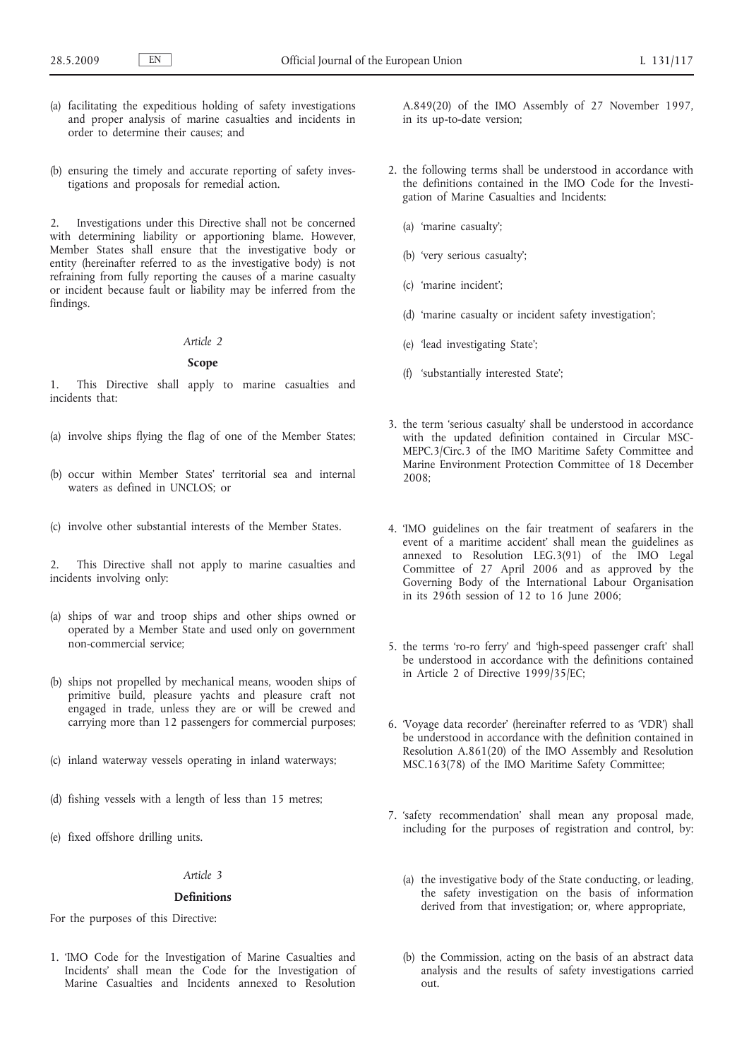- (a) facilitating the expeditious holding of safety investigations and proper analysis of marine casualties and incidents in order to determine their causes; and
- (b) ensuring the timely and accurate reporting of safety investigations and proposals for remedial action.

2. Investigations under this Directive shall not be concerned with determining liability or apportioning blame. However, Member States shall ensure that the investigative body or entity (hereinafter referred to as the investigative body) is not refraining from fully reporting the causes of a marine casualty or incident because fault or liability may be inferred from the findings.

## *Article 2*

# **Scope**

This Directive shall apply to marine casualties and incidents that:

- (a) involve ships flying the flag of one of the Member States;
- (b) occur within Member States' territorial sea and internal waters as defined in UNCLOS; or
- (c) involve other substantial interests of the Member States.

2. This Directive shall not apply to marine casualties and incidents involving only:

- (a) ships of war and troop ships and other ships owned or operated by a Member State and used only on government non-commercial service;
- (b) ships not propelled by mechanical means, wooden ships of primitive build, pleasure yachts and pleasure craft not engaged in trade, unless they are or will be crewed and carrying more than 12 passengers for commercial purposes;
- (c) inland waterway vessels operating in inland waterways;
- (d) fishing vessels with a length of less than 15 metres;
- (e) fixed offshore drilling units.

# *Article 3*

## **Definitions**

For the purposes of this Directive:

1. 'IMO Code for the Investigation of Marine Casualties and Incidents' shall mean the Code for the Investigation of Marine Casualties and Incidents annexed to Resolution A.849(20) of the IMO Assembly of 27 November 1997, in its up-to-date version;

- 2. the following terms shall be understood in accordance with the definitions contained in the IMO Code for the Investigation of Marine Casualties and Incidents:
	- (a) 'marine casualty';
	- (b) 'very serious casualty';
	- (c) 'marine incident';
	- (d) 'marine casualty or incident safety investigation';
	- (e) 'lead investigating State';
	- (f) 'substantially interested State';
- 3. the term 'serious casualty' shall be understood in accordance with the updated definition contained in Circular MSC-MEPC.3/Circ.3 of the IMO Maritime Safety Committee and Marine Environment Protection Committee of 18 December  $2008$
- 4. 'IMO guidelines on the fair treatment of seafarers in the event of a maritime accident' shall mean the guidelines as annexed to Resolution LEG.3(91) of the IMO Legal Committee of 27 April 2006 and as approved by the Governing Body of the International Labour Organisation in its 296th session of 12 to 16 June 2006;
- 5. the terms 'ro-ro ferry' and 'high-speed passenger craft' shall be understood in accordance with the definitions contained in Article 2 of Directive 1999/35/EC;
- 6. 'Voyage data recorder' (hereinafter referred to as 'VDR') shall be understood in accordance with the definition contained in Resolution A.861(20) of the IMO Assembly and Resolution MSC.163(78) of the IMO Maritime Safety Committee;
- 7. 'safety recommendation' shall mean any proposal made, including for the purposes of registration and control, by:
	- (a) the investigative body of the State conducting, or leading, the safety investigation on the basis of information derived from that investigation; or, where appropriate,
	- (b) the Commission, acting on the basis of an abstract data analysis and the results of safety investigations carried out.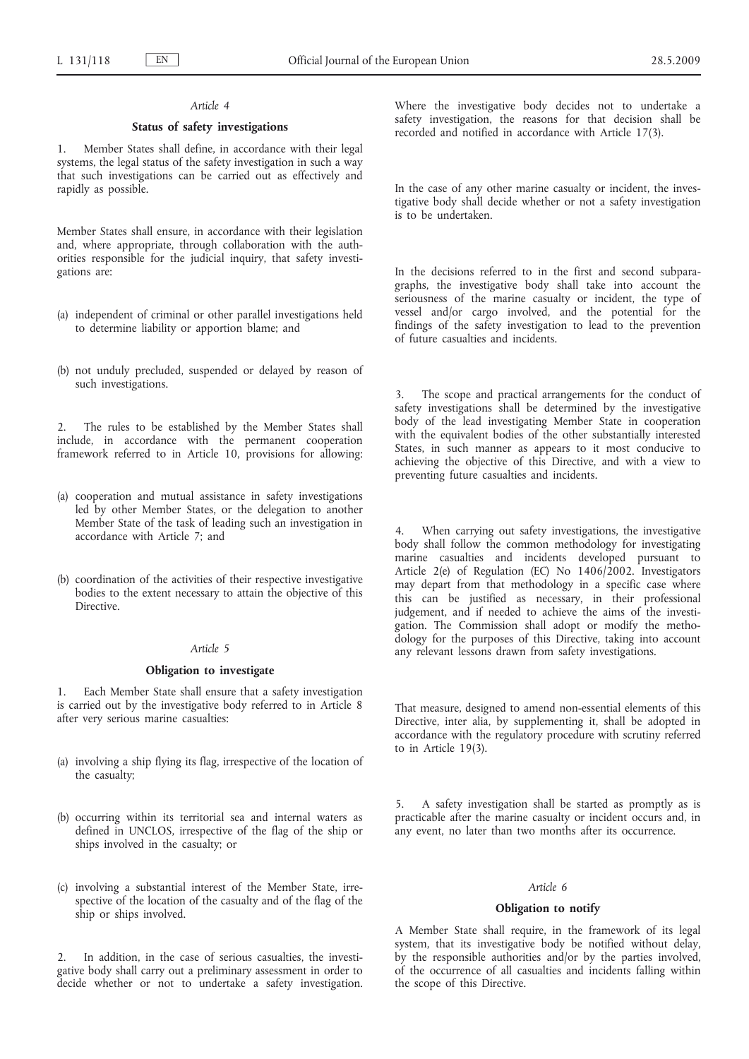## **Status of safety investigations**

1. Member States shall define, in accordance with their legal systems, the legal status of the safety investigation in such a way that such investigations can be carried out as effectively and rapidly as possible.

Member States shall ensure, in accordance with their legislation and, where appropriate, through collaboration with the authorities responsible for the judicial inquiry, that safety investigations are:

- (a) independent of criminal or other parallel investigations held to determine liability or apportion blame; and
- (b) not unduly precluded, suspended or delayed by reason of such investigations.

2. The rules to be established by the Member States shall include, in accordance with the permanent cooperation framework referred to in Article 10, provisions for allowing:

- (a) cooperation and mutual assistance in safety investigations led by other Member States, or the delegation to another Member State of the task of leading such an investigation in accordance with Article 7; and
- (b) coordination of the activities of their respective investigative bodies to the extent necessary to attain the objective of this **Directive**

### *Article 5*

#### **Obligation to investigate**

1. Each Member State shall ensure that a safety investigation is carried out by the investigative body referred to in Article 8 after very serious marine casualties:

- (a) involving a ship flying its flag, irrespective of the location of the casualty;
- (b) occurring within its territorial sea and internal waters as defined in UNCLOS, irrespective of the flag of the ship or ships involved in the casualty; or
- (c) involving a substantial interest of the Member State, irrespective of the location of the casualty and of the flag of the ship or ships involved.

2. In addition, in the case of serious casualties, the investigative body shall carry out a preliminary assessment in order to decide whether or not to undertake a safety investigation. Where the investigative body decides not to undertake a safety investigation, the reasons for that decision shall be recorded and notified in accordance with Article 17(3).

In the case of any other marine casualty or incident, the investigative body shall decide whether or not a safety investigation is to be undertaken.

In the decisions referred to in the first and second subparagraphs, the investigative body shall take into account the seriousness of the marine casualty or incident, the type of vessel and/or cargo involved, and the potential for the findings of the safety investigation to lead to the prevention of future casualties and incidents.

The scope and practical arrangements for the conduct of safety investigations shall be determined by the investigative body of the lead investigating Member State in cooperation with the equivalent bodies of the other substantially interested States, in such manner as appears to it most conducive to achieving the objective of this Directive, and with a view to preventing future casualties and incidents.

4. When carrying out safety investigations, the investigative body shall follow the common methodology for investigating marine casualties and incidents developed pursuant to Article 2(e) of Regulation (EC) No 1406/2002. Investigators may depart from that methodology in a specific case where this can be justified as necessary, in their professional judgement, and if needed to achieve the aims of the investigation. The Commission shall adopt or modify the methodology for the purposes of this Directive, taking into account any relevant lessons drawn from safety investigations.

That measure, designed to amend non-essential elements of this Directive, inter alia, by supplementing it, shall be adopted in accordance with the regulatory procedure with scrutiny referred to in Article 19(3).

5. A safety investigation shall be started as promptly as is practicable after the marine casualty or incident occurs and, in any event, no later than two months after its occurrence.

## *Article 6*

## **Obligation to notify**

A Member State shall require, in the framework of its legal system, that its investigative body be notified without delay, by the responsible authorities and/or by the parties involved, of the occurrence of all casualties and incidents falling within the scope of this Directive.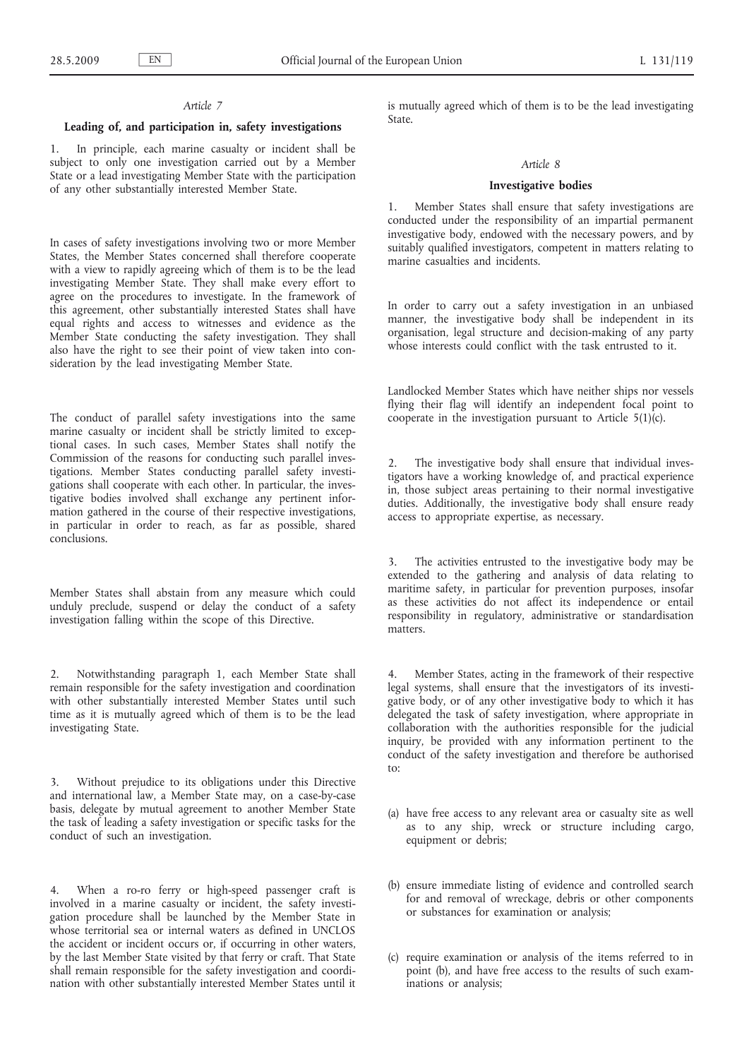## **Leading of, and participation in, safety investigations**

1. In principle, each marine casualty or incident shall be subject to only one investigation carried out by a Member State or a lead investigating Member State with the participation of any other substantially interested Member State.

In cases of safety investigations involving two or more Member States, the Member States concerned shall therefore cooperate with a view to rapidly agreeing which of them is to be the lead investigating Member State. They shall make every effort to agree on the procedures to investigate. In the framework of this agreement, other substantially interested States shall have equal rights and access to witnesses and evidence as the Member State conducting the safety investigation. They shall also have the right to see their point of view taken into consideration by the lead investigating Member State.

The conduct of parallel safety investigations into the same marine casualty or incident shall be strictly limited to exceptional cases. In such cases, Member States shall notify the Commission of the reasons for conducting such parallel investigations. Member States conducting parallel safety investigations shall cooperate with each other. In particular, the investigative bodies involved shall exchange any pertinent information gathered in the course of their respective investigations, in particular in order to reach, as far as possible, shared conclusions.

Member States shall abstain from any measure which could unduly preclude, suspend or delay the conduct of a safety investigation falling within the scope of this Directive.

2. Notwithstanding paragraph 1, each Member State shall remain responsible for the safety investigation and coordination with other substantially interested Member States until such time as it is mutually agreed which of them is to be the lead investigating State.

3. Without prejudice to its obligations under this Directive and international law, a Member State may, on a case-by-case basis, delegate by mutual agreement to another Member State the task of leading a safety investigation or specific tasks for the conduct of such an investigation.

4. When a ro-ro ferry or high-speed passenger craft is involved in a marine casualty or incident, the safety investigation procedure shall be launched by the Member State in whose territorial sea or internal waters as defined in UNCLOS the accident or incident occurs or, if occurring in other waters, by the last Member State visited by that ferry or craft. That State shall remain responsible for the safety investigation and coordination with other substantially interested Member States until it

is mutually agreed which of them is to be the lead investigating State.

## *Article 8*

## **Investigative bodies**

1. Member States shall ensure that safety investigations are conducted under the responsibility of an impartial permanent investigative body, endowed with the necessary powers, and by suitably qualified investigators, competent in matters relating to marine casualties and incidents.

In order to carry out a safety investigation in an unbiased manner, the investigative body shall be independent in its organisation, legal structure and decision-making of any party whose interests could conflict with the task entrusted to it.

Landlocked Member States which have neither ships nor vessels flying their flag will identify an independent focal point to cooperate in the investigation pursuant to Article  $5(1)(c)$ .

2. The investigative body shall ensure that individual investigators have a working knowledge of, and practical experience in, those subject areas pertaining to their normal investigative duties. Additionally, the investigative body shall ensure ready access to appropriate expertise, as necessary.

3. The activities entrusted to the investigative body may be extended to the gathering and analysis of data relating to maritime safety, in particular for prevention purposes, insofar as these activities do not affect its independence or entail responsibility in regulatory, administrative or standardisation matters.

Member States, acting in the framework of their respective legal systems, shall ensure that the investigators of its investigative body, or of any other investigative body to which it has delegated the task of safety investigation, where appropriate in collaboration with the authorities responsible for the judicial inquiry, be provided with any information pertinent to the conduct of the safety investigation and therefore be authorised to:

- (a) have free access to any relevant area or casualty site as well as to any ship, wreck or structure including cargo, equipment or debris;
- (b) ensure immediate listing of evidence and controlled search for and removal of wreckage, debris or other components or substances for examination or analysis;
- (c) require examination or analysis of the items referred to in point (b), and have free access to the results of such examinations or analysis;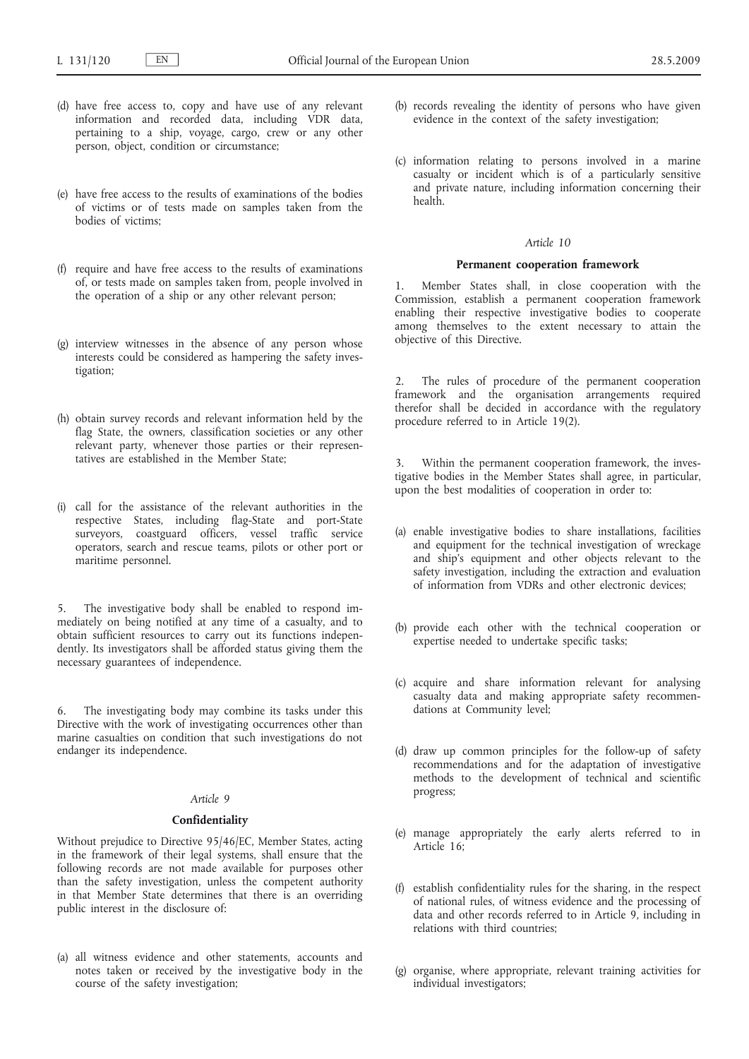- (d) have free access to, copy and have use of any relevant information and recorded data, including VDR data, pertaining to a ship, voyage, cargo, crew or any other person, object, condition or circumstance;
- (e) have free access to the results of examinations of the bodies of victims or of tests made on samples taken from the bodies of victims;
- (f) require and have free access to the results of examinations of, or tests made on samples taken from, people involved in the operation of a ship or any other relevant person;
- (g) interview witnesses in the absence of any person whose interests could be considered as hampering the safety investigation;
- (h) obtain survey records and relevant information held by the flag State, the owners, classification societies or any other relevant party, whenever those parties or their representatives are established in the Member State;
- (i) call for the assistance of the relevant authorities in the respective States, including flag-State and port-State surveyors, coastguard officers, vessel traffic service operators, search and rescue teams, pilots or other port or maritime personnel.

5. The investigative body shall be enabled to respond immediately on being notified at any time of a casualty, and to obtain sufficient resources to carry out its functions independently. Its investigators shall be afforded status giving them the necessary guarantees of independence.

6. The investigating body may combine its tasks under this Directive with the work of investigating occurrences other than marine casualties on condition that such investigations do not endanger its independence.

# *Article 9*

# **Confidentiality**

Without prejudice to Directive 95/46/EC, Member States, acting in the framework of their legal systems, shall ensure that the following records are not made available for purposes other than the safety investigation, unless the competent authority in that Member State determines that there is an overriding public interest in the disclosure of:

(a) all witness evidence and other statements, accounts and notes taken or received by the investigative body in the course of the safety investigation;

- (b) records revealing the identity of persons who have given evidence in the context of the safety investigation;
- (c) information relating to persons involved in a marine casualty or incident which is of a particularly sensitive and private nature, including information concerning their health.

#### *Article 10*

#### **Permanent cooperation framework**

Member States shall, in close cooperation with the Commission, establish a permanent cooperation framework enabling their respective investigative bodies to cooperate among themselves to the extent necessary to attain the objective of this Directive.

2. The rules of procedure of the permanent cooperation framework and the organisation arrangements required therefor shall be decided in accordance with the regulatory procedure referred to in Article 19(2).

3. Within the permanent cooperation framework, the investigative bodies in the Member States shall agree, in particular, upon the best modalities of cooperation in order to:

- (a) enable investigative bodies to share installations, facilities and equipment for the technical investigation of wreckage and ship's equipment and other objects relevant to the safety investigation, including the extraction and evaluation of information from VDRs and other electronic devices;
- (b) provide each other with the technical cooperation or expertise needed to undertake specific tasks;
- (c) acquire and share information relevant for analysing casualty data and making appropriate safety recommendations at Community level;
- (d) draw up common principles for the follow-up of safety recommendations and for the adaptation of investigative methods to the development of technical and scientific progress;
- (e) manage appropriately the early alerts referred to in Article 16;
- (f) establish confidentiality rules for the sharing, in the respect of national rules, of witness evidence and the processing of data and other records referred to in Article 9, including in relations with third countries;
- (g) organise, where appropriate, relevant training activities for individual investigators;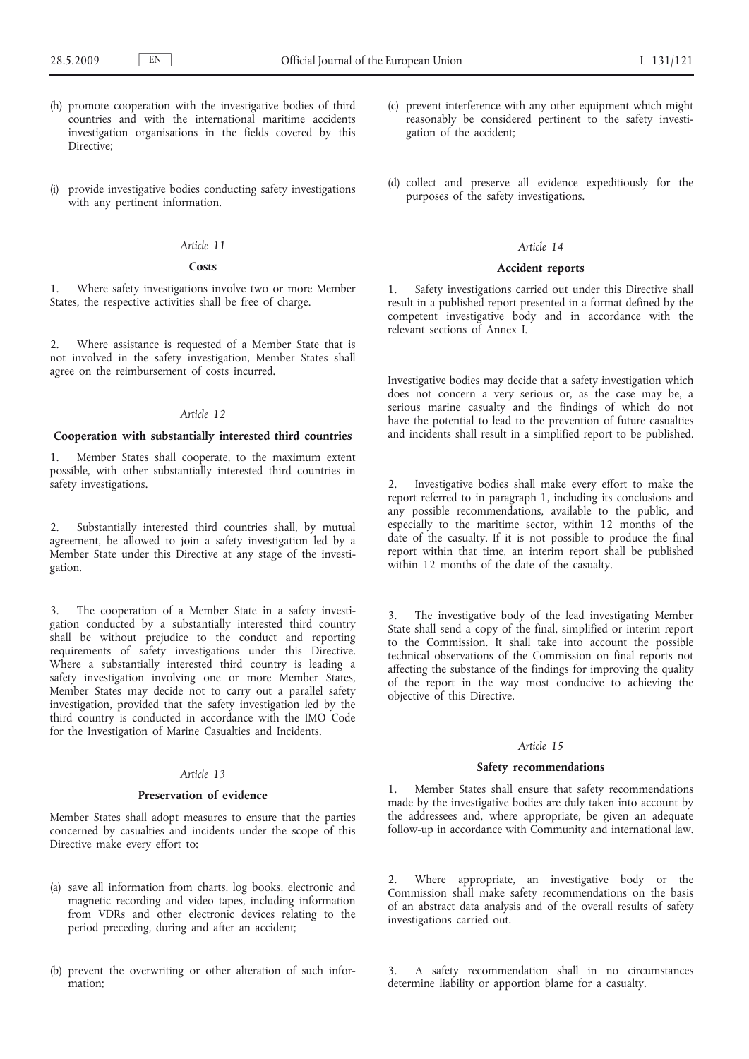- (h) promote cooperation with the investigative bodies of third countries and with the international maritime accidents investigation organisations in the fields covered by this Directive<sup>®</sup>
- (i) provide investigative bodies conducting safety investigations with any pertinent information.

## **Costs**

1. Where safety investigations involve two or more Member States, the respective activities shall be free of charge.

2. Where assistance is requested of a Member State that is not involved in the safety investigation, Member States shall agree on the reimbursement of costs incurred.

# *Article 12*

## **Cooperation with substantially interested third countries**

1. Member States shall cooperate, to the maximum extent possible, with other substantially interested third countries in safety investigations.

2. Substantially interested third countries shall, by mutual agreement, be allowed to join a safety investigation led by a Member State under this Directive at any stage of the investigation.

The cooperation of a Member State in a safety investigation conducted by a substantially interested third country shall be without prejudice to the conduct and reporting requirements of safety investigations under this Directive. Where a substantially interested third country is leading a safety investigation involving one or more Member States, Member States may decide not to carry out a parallel safety investigation, provided that the safety investigation led by the third country is conducted in accordance with the IMO Code for the Investigation of Marine Casualties and Incidents.

## *Article 13*

# **Preservation of evidence**

Member States shall adopt measures to ensure that the parties concerned by casualties and incidents under the scope of this Directive make every effort to:

- (a) save all information from charts, log books, electronic and magnetic recording and video tapes, including information from VDRs and other electronic devices relating to the period preceding, during and after an accident;
- (b) prevent the overwriting or other alteration of such information;
- (c) prevent interference with any other equipment which might reasonably be considered pertinent to the safety investigation of the accident;
- (d) collect and preserve all evidence expeditiously for the purposes of the safety investigations.

## *Article 14*

## **Accident reports**

1. Safety investigations carried out under this Directive shall result in a published report presented in a format defined by the competent investigative body and in accordance with the relevant sections of Annex I.

Investigative bodies may decide that a safety investigation which does not concern a very serious or, as the case may be, a serious marine casualty and the findings of which do not have the potential to lead to the prevention of future casualties and incidents shall result in a simplified report to be published.

2. Investigative bodies shall make every effort to make the report referred to in paragraph 1, including its conclusions and any possible recommendations, available to the public, and especially to the maritime sector, within 12 months of the date of the casualty. If it is not possible to produce the final report within that time, an interim report shall be published within 12 months of the date of the casualty.

3. The investigative body of the lead investigating Member State shall send a copy of the final, simplified or interim report to the Commission. It shall take into account the possible technical observations of the Commission on final reports not affecting the substance of the findings for improving the quality of the report in the way most conducive to achieving the objective of this Directive.

# *Article 15*

## **Safety recommendations**

1. Member States shall ensure that safety recommendations made by the investigative bodies are duly taken into account by the addressees and, where appropriate, be given an adequate follow-up in accordance with Community and international law.

Where appropriate, an investigative body or the Commission shall make safety recommendations on the basis of an abstract data analysis and of the overall results of safety investigations carried out.

3. A safety recommendation shall in no circumstances determine liability or apportion blame for a casualty.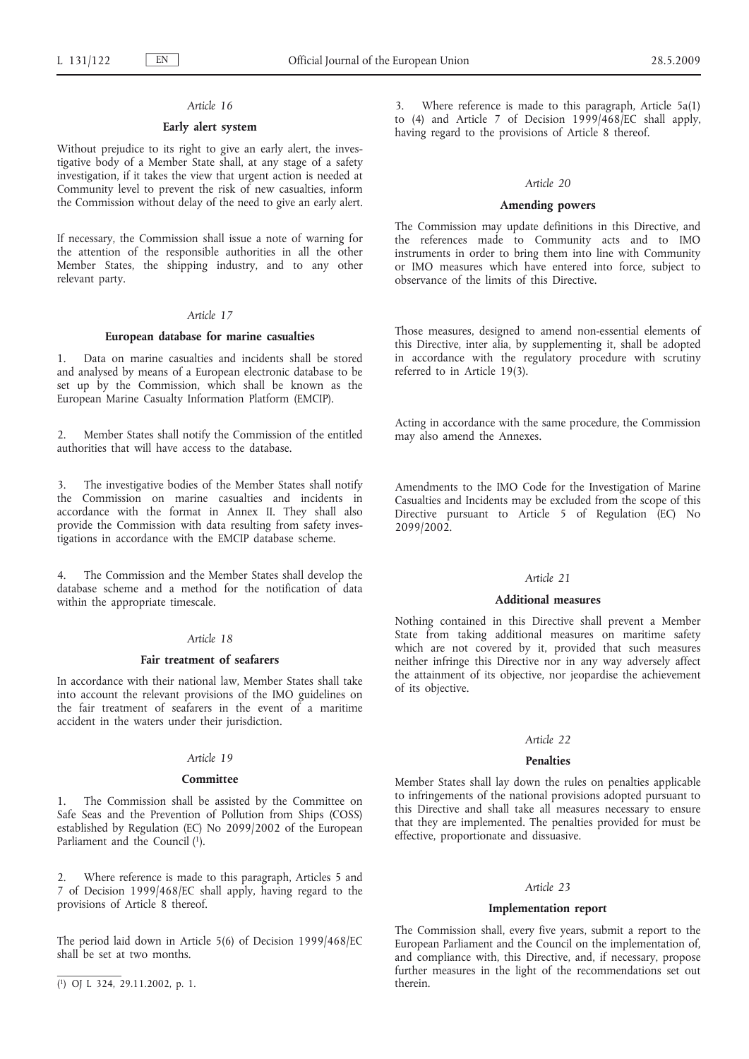## **Early alert system**

Without prejudice to its right to give an early alert, the investigative body of a Member State shall, at any stage of a safety investigation, if it takes the view that urgent action is needed at Community level to prevent the risk of new casualties, inform the Commission without delay of the need to give an early alert.

If necessary, the Commission shall issue a note of warning for the attention of the responsible authorities in all the other Member States, the shipping industry, and to any other relevant party.

# *Article 17*

## **European database for marine casualties**

1. Data on marine casualties and incidents shall be stored and analysed by means of a European electronic database to be set up by the Commission, which shall be known as the European Marine Casualty Information Platform (EMCIP).

2. Member States shall notify the Commission of the entitled authorities that will have access to the database.

3. The investigative bodies of the Member States shall notify the Commission on marine casualties and incidents in accordance with the format in Annex II. They shall also provide the Commission with data resulting from safety investigations in accordance with the EMCIP database scheme.

4. The Commission and the Member States shall develop the database scheme and a method for the notification of data within the appropriate timescale.

## *Article 18*

### **Fair treatment of seafarers**

In accordance with their national law, Member States shall take into account the relevant provisions of the IMO guidelines on the fair treatment of seafarers in the event of a maritime accident in the waters under their jurisdiction.

#### *Article 19*

## **Committee**

1. The Commission shall be assisted by the Committee on Safe Seas and the Prevention of Pollution from Ships (COSS) established by Regulation (EC) No 2099/2002 of the European Parliament and the Council (1).

2. Where reference is made to this paragraph, Articles 5 and 7 of Decision 1999/468/EC shall apply, having regard to the provisions of Article 8 thereof.

The period laid down in Article 5(6) of Decision 1999/468/EC shall be set at two months.

Where reference is made to this paragraph, Article 5a(1) to (4) and Article 7 of Decision 1999/468/EC shall apply, having regard to the provisions of Article 8 thereof.

#### *Article 20*

## **Amending powers**

The Commission may update definitions in this Directive, and the references made to Community acts and to IMO instruments in order to bring them into line with Community or IMO measures which have entered into force, subject to observance of the limits of this Directive.

Those measures, designed to amend non-essential elements of this Directive, inter alia, by supplementing it, shall be adopted in accordance with the regulatory procedure with scrutiny referred to in Article 19(3).

Acting in accordance with the same procedure, the Commission may also amend the Annexes.

Amendments to the IMO Code for the Investigation of Marine Casualties and Incidents may be excluded from the scope of this Directive pursuant to Article 5 of Regulation (EC) No 2099/2002.

## *Article 21*

## **Additional measures**

Nothing contained in this Directive shall prevent a Member State from taking additional measures on maritime safety which are not covered by it, provided that such measures neither infringe this Directive nor in any way adversely affect the attainment of its objective, nor jeopardise the achievement of its objective.

## *Article 22*

#### **Penalties**

Member States shall lay down the rules on penalties applicable to infringements of the national provisions adopted pursuant to this Directive and shall take all measures necessary to ensure that they are implemented. The penalties provided for must be effective, proportionate and dissuasive.

## *Article 23*

#### **Implementation report**

The Commission shall, every five years, submit a report to the European Parliament and the Council on the implementation of, and compliance with, this Directive, and, if necessary, propose further measures in the light of the recommendations set out therein.

<sup>(</sup> 1) OJ L 324, 29.11.2002, p. 1.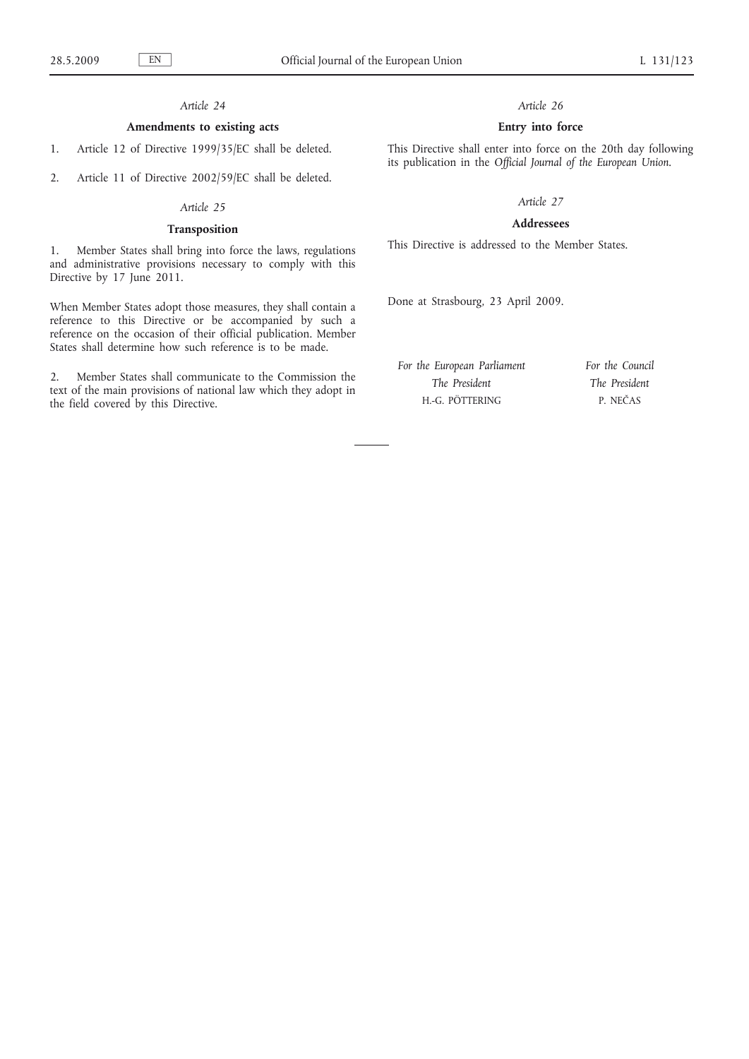# **Amendments to existing acts**

1. Article 12 of Directive 1999/35/EC shall be deleted.

2. Article 11 of Directive 2002/59/EC shall be deleted.

## *Article 25*

## **Transposition**

1. Member States shall bring into force the laws, regulations and administrative provisions necessary to comply with this Directive by 17 June 2011.

When Member States adopt those measures, they shall contain a reference to this Directive or be accompanied by such a reference on the occasion of their official publication. Member States shall determine how such reference is to be made.

2. Member States shall communicate to the Commission the text of the main provisions of national law which they adopt in the field covered by this Directive.

## *Article 26*

## **Entry into force**

This Directive shall enter into force on the 20th day following its publication in the *Official Journal of the European Union*.

## *Article 27*

# **Addressees**

This Directive is addressed to the Member States.

Done at Strasbourg, 23 April 2009.

*For the European Parliament The President* H.-G. PÖTTERING

*For the Council The President* P. NEČAS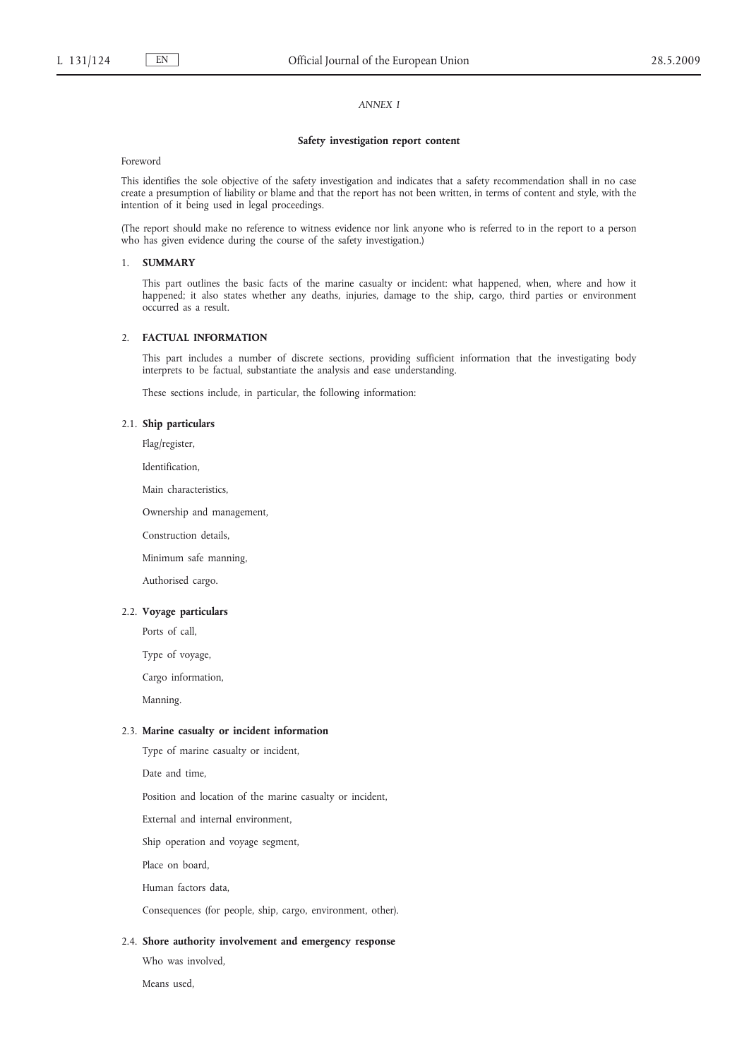# *ANNEX I*

#### **Safety investigation report content**

#### Foreword

This identifies the sole objective of the safety investigation and indicates that a safety recommendation shall in no case create a presumption of liability or blame and that the report has not been written, in terms of content and style, with the intention of it being used in legal proceedings.

(The report should make no reference to witness evidence nor link anyone who is referred to in the report to a person who has given evidence during the course of the safety investigation.)

## 1. **SUMMARY**

This part outlines the basic facts of the marine casualty or incident: what happened, when, where and how it happened; it also states whether any deaths, injuries, damage to the ship, cargo, third parties or environment occurred as a result.

## 2. **FACTUAL INFORMATION**

This part includes a number of discrete sections, providing sufficient information that the investigating body interprets to be factual, substantiate the analysis and ease understanding.

These sections include, in particular, the following information:

# 2.1. **Ship particulars**

Flag/register,

Identification,

Main characteristics,

Ownership and management,

Construction details,

Minimum safe manning,

Authorised cargo.

# 2.2. **Voyage particulars**

Ports of call,

Type of voyage,

Cargo information,

Manning.

## 2.3. **Marine casualty or incident information**

Type of marine casualty or incident,

Date and time,

Position and location of the marine casualty or incident,

External and internal environment,

Ship operation and voyage segment,

Place on board,

Human factors data,

Consequences (for people, ship, cargo, environment, other).

# 2.4. **Shore authority involvement and emergency response**

Who was involved,

Means used,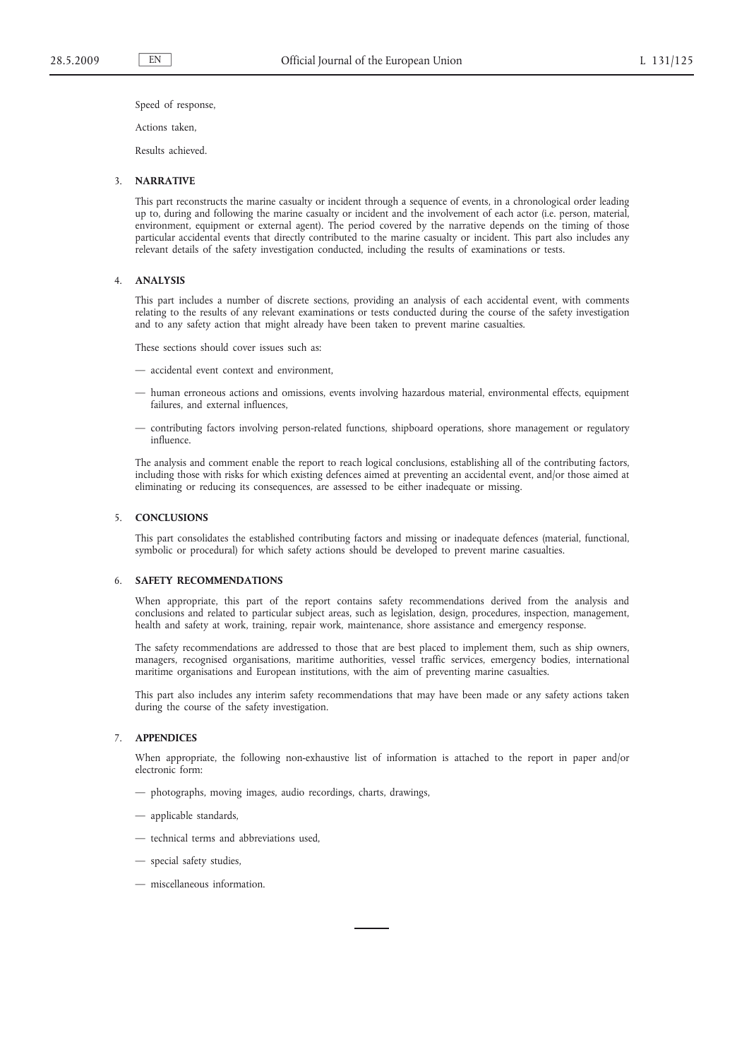Speed of response,

Actions taken,

Results achieved.

## 3. **NARRATIVE**

This part reconstructs the marine casualty or incident through a sequence of events, in a chronological order leading up to, during and following the marine casualty or incident and the involvement of each actor (i.e. person, material, environment, equipment or external agent). The period covered by the narrative depends on the timing of those particular accidental events that directly contributed to the marine casualty or incident. This part also includes any relevant details of the safety investigation conducted, including the results of examinations or tests.

## 4. **ANALYSIS**

This part includes a number of discrete sections, providing an analysis of each accidental event, with comments relating to the results of any relevant examinations or tests conducted during the course of the safety investigation and to any safety action that might already have been taken to prevent marine casualties.

These sections should cover issues such as:

- accidental event context and environment,
- human erroneous actions and omissions, events involving hazardous material, environmental effects, equipment failures, and external influences,
- contributing factors involving person-related functions, shipboard operations, shore management or regulatory influence.

The analysis and comment enable the report to reach logical conclusions, establishing all of the contributing factors, including those with risks for which existing defences aimed at preventing an accidental event, and/or those aimed at eliminating or reducing its consequences, are assessed to be either inadequate or missing.

## 5. **CONCLUSIONS**

This part consolidates the established contributing factors and missing or inadequate defences (material, functional, symbolic or procedural) for which safety actions should be developed to prevent marine casualties.

#### 6. **SAFETY RECOMMENDATIONS**

When appropriate, this part of the report contains safety recommendations derived from the analysis and conclusions and related to particular subject areas, such as legislation, design, procedures, inspection, management, health and safety at work, training, repair work, maintenance, shore assistance and emergency response.

The safety recommendations are addressed to those that are best placed to implement them, such as ship owners, managers, recognised organisations, maritime authorities, vessel traffic services, emergency bodies, international maritime organisations and European institutions, with the aim of preventing marine casualties.

This part also includes any interim safety recommendations that may have been made or any safety actions taken during the course of the safety investigation.

## 7. **APPENDICES**

When appropriate, the following non-exhaustive list of information is attached to the report in paper and/or electronic form:

- photographs, moving images, audio recordings, charts, drawings,
- applicable standards,
- technical terms and abbreviations used,
- special safety studies,
- miscellaneous information.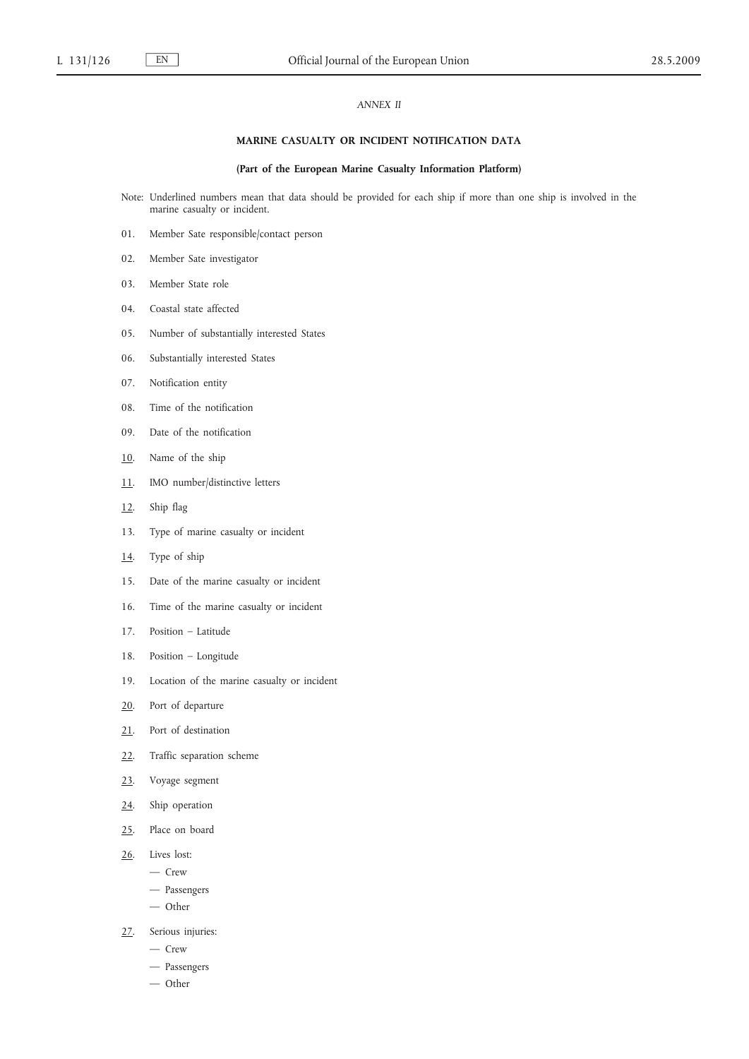# *ANNEX II*

# **MARINE CASUALTY OR INCIDENT NOTIFICATION DATA**

## **(Part of the European Marine Casualty Information Platform)**

- Note: Underlined numbers mean that data should be provided for each ship if more than one ship is involved in the marine casualty or incident.
- 01. Member Sate responsible/contact person
- 02. Member Sate investigator
- 03. Member State role
- 04. Coastal state affected
- 05. Number of substantially interested States
- 06. Substantially interested States
- 07. Notification entity
- 08. Time of the notification
- 09. Date of the notification
- 10. Name of the ship
- 11. IMO number/distinctive letters
- 12. Ship flag
- 13. Type of marine casualty or incident
- 14. Type of ship
- 15. Date of the marine casualty or incident
- 16. Time of the marine casualty or incident
- 17. Position Latitude
- 18. Position Longitude
- 19. Location of the marine casualty or incident
- 20. Port of departure
- 21. Port of destination
- 22. Traffic separation scheme
- 23. Voyage segment
- 24. Ship operation
- 25. Place on board
- 26. Lives lost:
	- Crew
	- Passengers
	- Other
- 27. Serious injuries:
	- Crew
	- Passengers
	- Other